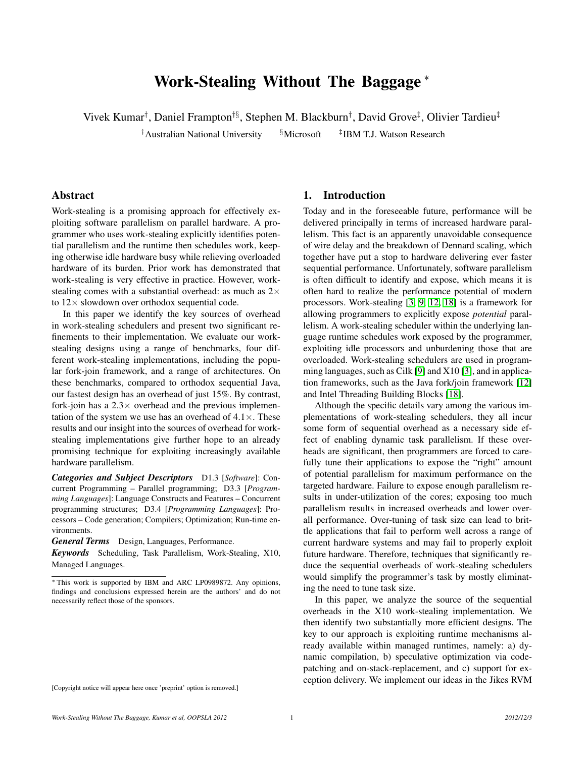# Work-Stealing Without The Baggage <sup>∗</sup>

Vivek Kumar<sup>†</sup>, Daniel Frampton<sup>†§</sup>, Stephen M. Blackburn<sup>†</sup>, David Grove<sup>‡</sup>, Olivier Tardieu<sup>‡</sup>

<sup>†</sup>Australian National University  $\frac{1}{2}$ Microsoft <sup>‡</sup>IBM T.J. Watson Research

# Abstract

Work-stealing is a promising approach for effectively exploiting software parallelism on parallel hardware. A programmer who uses work-stealing explicitly identifies potential parallelism and the runtime then schedules work, keeping otherwise idle hardware busy while relieving overloaded hardware of its burden. Prior work has demonstrated that work-stealing is very effective in practice. However, workstealing comes with a substantial overhead: as much as  $2\times$ to  $12 \times$  slowdown over orthodox sequential code.

In this paper we identify the key sources of overhead in work-stealing schedulers and present two significant refinements to their implementation. We evaluate our workstealing designs using a range of benchmarks, four different work-stealing implementations, including the popular fork-join framework, and a range of architectures. On these benchmarks, compared to orthodox sequential Java, our fastest design has an overhead of just 15%. By contrast, fork-join has a  $2.3 \times$  overhead and the previous implementation of the system we use has an overhead of  $4.1 \times$ . These results and our insight into the sources of overhead for workstealing implementations give further hope to an already promising technique for exploiting increasingly available hardware parallelism.

*Categories and Subject Descriptors* D1.3 [*Software*]: Concurrent Programming – Parallel programming; D3.3 [*Programming Languages*]: Language Constructs and Features – Concurrent programming structures; D3.4 [*Programming Languages*]: Processors – Code generation; Compilers; Optimization; Run-time environments.

*General Terms* Design, Languages, Performance.

*Keywords* Scheduling, Task Parallelism, Work-Stealing, X10, Managed Languages.

## 1. Introduction

Today and in the foreseeable future, performance will be delivered principally in terms of increased hardware parallelism. This fact is an apparently unavoidable consequence of wire delay and the breakdown of Dennard scaling, which together have put a stop to hardware delivering ever faster sequential performance. Unfortunately, software parallelism is often difficult to identify and expose, which means it is often hard to realize the performance potential of modern processors. Work-stealing [\[3,](#page-15-0) [9,](#page-15-1) [12,](#page-16-0) [18\]](#page-16-1) is a framework for allowing programmers to explicitly expose *potential* parallelism. A work-stealing scheduler within the underlying language runtime schedules work exposed by the programmer, exploiting idle processors and unburdening those that are overloaded. Work-stealing schedulers are used in programming languages, such as Cilk [\[9\]](#page-15-1) and X10 [\[3\]](#page-15-0), and in application frameworks, such as the Java fork/join framework [\[12\]](#page-16-0) and Intel Threading Building Blocks [\[18\]](#page-16-1).

Although the specific details vary among the various implementations of work-stealing schedulers, they all incur some form of sequential overhead as a necessary side effect of enabling dynamic task parallelism. If these overheads are significant, then programmers are forced to carefully tune their applications to expose the "right" amount of potential parallelism for maximum performance on the targeted hardware. Failure to expose enough parallelism results in under-utilization of the cores; exposing too much parallelism results in increased overheads and lower overall performance. Over-tuning of task size can lead to brittle applications that fail to perform well across a range of current hardware systems and may fail to properly exploit future hardware. Therefore, techniques that significantly reduce the sequential overheads of work-stealing schedulers would simplify the programmer's task by mostly eliminating the need to tune task size.

In this paper, we analyze the source of the sequential overheads in the X10 work-stealing implementation. We then identify two substantially more efficient designs. The key to our approach is exploiting runtime mechanisms already available within managed runtimes, namely: a) dynamic compilation, b) speculative optimization via codepatching and on-stack-replacement, and c) support for exception delivery. We implement our ideas in the Jikes RVM

[Copyright notice will appear here once 'preprint' option is removed.]

<sup>∗</sup> This work is supported by IBM and ARC LP0989872. Any opinions, findings and conclusions expressed herein are the authors' and do not necessarily reflect those of the sponsors.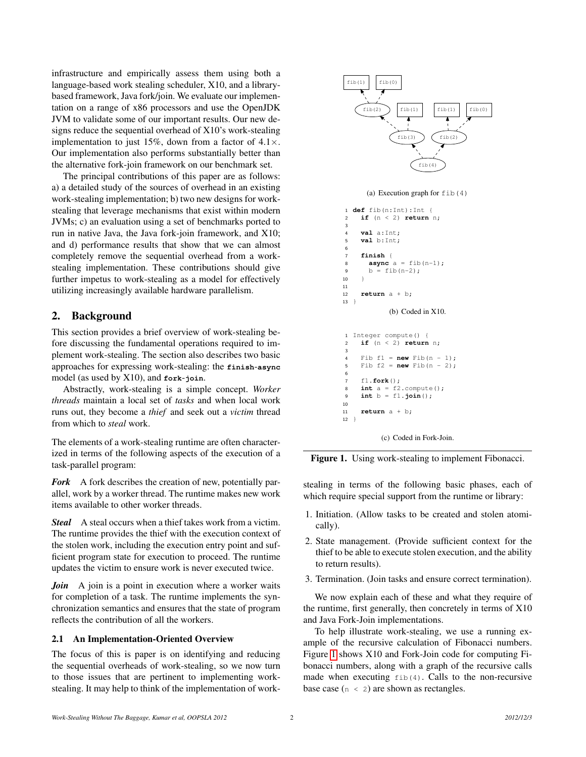infrastructure and empirically assess them using both a language-based work stealing scheduler, X10, and a librarybased framework, Java fork/join. We evaluate our implementation on a range of x86 processors and use the OpenJDK JVM to validate some of our important results. Our new designs reduce the sequential overhead of X10's work-stealing implementation to just 15%, down from a factor of  $4.1 \times$ . Our implementation also performs substantially better than the alternative fork-join framework on our benchmark set.

The principal contributions of this paper are as follows: a) a detailed study of the sources of overhead in an existing work-stealing implementation; b) two new designs for workstealing that leverage mechanisms that exist within modern JVMs; c) an evaluation using a set of benchmarks ported to run in native Java, the Java fork-join framework, and X10; and d) performance results that show that we can almost completely remove the sequential overhead from a workstealing implementation. These contributions should give further impetus to work-stealing as a model for effectively utilizing increasingly available hardware parallelism.

# <span id="page-1-8"></span>2. Background

This section provides a brief overview of work-stealing before discussing the fundamental operations required to implement work-stealing. The section also describes two basic approaches for expressing work-stealing: the **finish**-**async** model (as used by X10), and **fork**-**join**.

Abstractly, work-stealing is a simple concept. *Worker threads* maintain a local set of *tasks* and when local work runs out, they become a *thief* and seek out a *victim* thread from which to *steal* work.

The elements of a work-stealing runtime are often characterized in terms of the following aspects of the execution of a task-parallel program:

*Fork* A fork describes the creation of new, potentially parallel, work by a worker thread. The runtime makes new work items available to other worker threads.

*Steal* A steal occurs when a thief takes work from a victim. The runtime provides the thief with the execution context of the stolen work, including the execution entry point and sufficient program state for execution to proceed. The runtime updates the victim to ensure work is never executed twice.

*Join* A join is a point in execution where a worker waits for completion of a task. The runtime implements the synchronization semantics and ensures that the state of program reflects the contribution of all the workers.

#### 2.1 An Implementation-Oriented Overview

The focus of this is paper is on identifying and reducing the sequential overheads of work-stealing, so we now turn to those issues that are pertinent to implementing workstealing. It may help to think of the implementation of work-

<span id="page-1-4"></span>

<span id="page-1-7"></span><span id="page-1-6"></span><span id="page-1-5"></span><span id="page-1-3"></span><span id="page-1-2"></span><span id="page-1-1"></span><span id="page-1-0"></span>



stealing in terms of the following basic phases, each of which require special support from the runtime or library:

- 1. Initiation. (Allow tasks to be created and stolen atomically).
- 2. State management. (Provide sufficient context for the thief to be able to execute stolen execution, and the ability to return results).
- 3. Termination. (Join tasks and ensure correct termination).

We now explain each of these and what they require of the runtime, first generally, then concretely in terms of X10 and Java Fork-Join implementations.

To help illustrate work-stealing, we use a running example of the recursive calculation of Fibonacci numbers. Figure [1](#page-1-0) shows X10 and Fork-Join code for computing Fibonacci numbers, along with a graph of the recursive calls made when executing  $fib(4)$ . Calls to the non-recursive base case  $(n \lt 2)$  are shown as rectangles.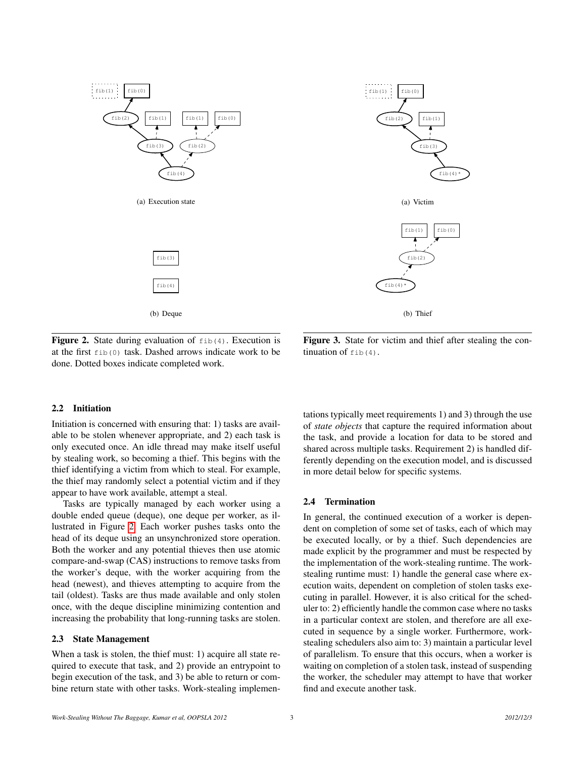



<span id="page-2-0"></span>**Figure 2.** State during evaluation of  $f$ <sub>1b</sub>(4). Execution is at the first fib(0) task. Dashed arrows indicate work to be done. Dotted boxes indicate completed work.

<span id="page-2-1"></span>Figure 3. State for victim and thief after stealing the continuation of  $fib(4)$ .

#### 2.2 Initiation

Initiation is concerned with ensuring that: 1) tasks are available to be stolen whenever appropriate, and 2) each task is only executed once. An idle thread may make itself useful by stealing work, so becoming a thief. This begins with the thief identifying a victim from which to steal. For example, the thief may randomly select a potential victim and if they appear to have work available, attempt a steal.

Tasks are typically managed by each worker using a double ended queue (deque), one deque per worker, as illustrated in Figure [2.](#page-2-0) Each worker pushes tasks onto the head of its deque using an unsynchronized store operation. Both the worker and any potential thieves then use atomic compare-and-swap (CAS) instructions to remove tasks from the worker's deque, with the worker acquiring from the head (newest), and thieves attempting to acquire from the tail (oldest). Tasks are thus made available and only stolen once, with the deque discipline minimizing contention and increasing the probability that long-running tasks are stolen.

#### 2.3 State Management

When a task is stolen, the thief must: 1) acquire all state required to execute that task, and 2) provide an entrypoint to begin execution of the task, and 3) be able to return or combine return state with other tasks. Work-stealing implementations typically meet requirements 1) and 3) through the use of *state objects* that capture the required information about the task, and provide a location for data to be stored and shared across multiple tasks. Requirement 2) is handled differently depending on the execution model, and is discussed in more detail below for specific systems.

#### 2.4 Termination

In general, the continued execution of a worker is dependent on completion of some set of tasks, each of which may be executed locally, or by a thief. Such dependencies are made explicit by the programmer and must be respected by the implementation of the work-stealing runtime. The workstealing runtime must: 1) handle the general case where execution waits, dependent on completion of stolen tasks executing in parallel. However, it is also critical for the scheduler to: 2) efficiently handle the common case where no tasks in a particular context are stolen, and therefore are all executed in sequence by a single worker. Furthermore, workstealing schedulers also aim to: 3) maintain a particular level of parallelism. To ensure that this occurs, when a worker is waiting on completion of a stolen task, instead of suspending the worker, the scheduler may attempt to have that worker find and execute another task.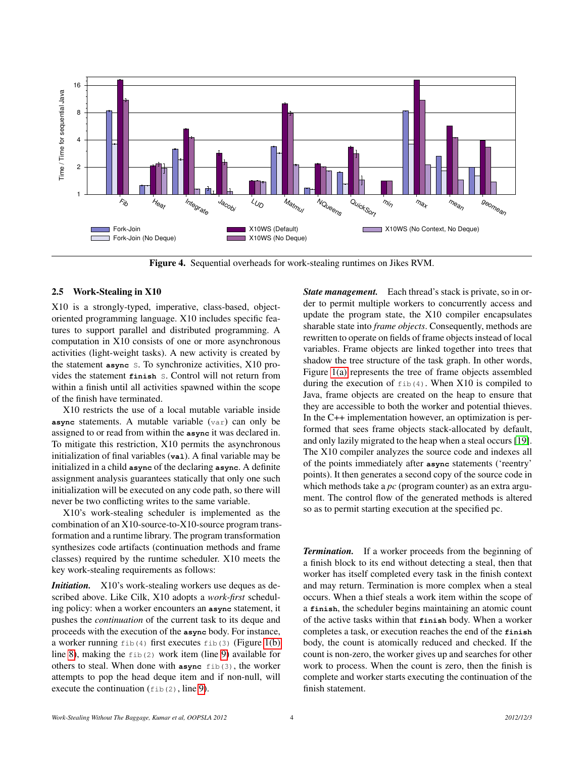

<span id="page-3-0"></span>Figure 4. Sequential overheads for work-stealing runtimes on Jikes RVM.

#### 2.5 Work-Stealing in X10

X10 is a strongly-typed, imperative, class-based, objectoriented programming language. X10 includes specific features to support parallel and distributed programming. A computation in X10 consists of one or more asynchronous activities (light-weight tasks). A new activity is created by the statement **async** S. To synchronize activities, X10 provides the statement **finish** S. Control will not return from within a finish until all activities spawned within the scope of the finish have terminated.

X10 restricts the use of a local mutable variable inside **async** statements. A mutable variable (var) can only be assigned to or read from within the **async** it was declared in. To mitigate this restriction, X10 permits the asynchronous initialization of final variables (**val**). A final variable may be initialized in a child **async** of the declaring **async**. A definite assignment analysis guarantees statically that only one such initialization will be executed on any code path, so there will never be two conflicting writes to the same variable.

X10's work-stealing scheduler is implemented as the combination of an X10-source-to-X10-source program transformation and a runtime library. The program transformation synthesizes code artifacts (continuation methods and frame classes) required by the runtime scheduler. X10 meets the key work-stealing requirements as follows:

*Initiation.* X10's work-stealing workers use deques as described above. Like Cilk, X10 adopts a *work-first* scheduling policy: when a worker encounters an **async** statement, it pushes the *continuation* of the current task to its deque and proceeds with the execution of the **async** body. For instance, a worker running  $fib(4)$  first executes  $fib(3)$  (Figure [1\(b\)](#page-1-1) line [8\)](#page-1-2), making the  $fib(2)$  work item (line [9\)](#page-1-3) available for others to steal. When done with **async** fib(3), the worker attempts to pop the head deque item and if non-null, will execute the continuation  $(fib(2), line 9)$  $(fib(2), line 9)$ .

*State management.* Each thread's stack is private, so in order to permit multiple workers to concurrently access and update the program state, the X10 compiler encapsulates sharable state into *frame objects*. Consequently, methods are rewritten to operate on fields of frame objects instead of local variables. Frame objects are linked together into trees that shadow the tree structure of the task graph. In other words, Figure [1\(a\)](#page-1-4) represents the tree of frame objects assembled during the execution of  $fib(4)$ . When X10 is compiled to Java, frame objects are created on the heap to ensure that they are accessible to both the worker and potential thieves. In the C++ implementation however, an optimization is performed that sees frame objects stack-allocated by default, and only lazily migrated to the heap when a steal occurs [\[19\]](#page-16-2). The X10 compiler analyzes the source code and indexes all of the points immediately after **async** statements ('reentry' points). It then generates a second copy of the source code in which methods take a *pc* (program counter) as an extra argument. The control flow of the generated methods is altered so as to permit starting execution at the specified pc.

*Termination.* If a worker proceeds from the beginning of a finish block to its end without detecting a steal, then that worker has itself completed every task in the finish context and may return. Termination is more complex when a steal occurs. When a thief steals a work item within the scope of a **finish**, the scheduler begins maintaining an atomic count of the active tasks within that **finish** body. When a worker completes a task, or execution reaches the end of the **finish** body, the count is atomically reduced and checked. If the count is non-zero, the worker gives up and searches for other work to process. When the count is zero, then the finish is complete and worker starts executing the continuation of the finish statement.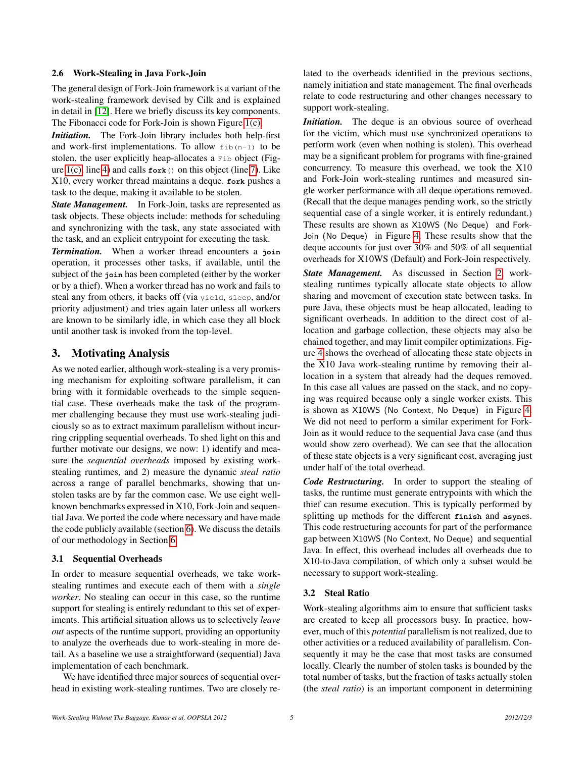#### 2.6 Work-Stealing in Java Fork-Join

The general design of Fork-Join framework is a variant of the work-stealing framework devised by Cilk and is explained in detail in [\[12\]](#page-16-0). Here we briefly discuss its key components. The Fibonacci code for Fork-Join is shown Figure [1\(c\).](#page-1-5)

*Initiation.* The Fork-Join library includes both help-first and work-first implementations. To allow  $f$ <sub>ib(n-1)</sub> to be stolen, the user explicitly heap-allocates a Fib object (Figure  $1(c)$ , line [4\)](#page-1-6) and calls  $f \circ r k$  () on this object (line [7\)](#page-1-7). Like X10, every worker thread maintains a deque. **fork** pushes a task to the deque, making it available to be stolen.

*State Management.* In Fork-Join, tasks are represented as task objects. These objects include: methods for scheduling and synchronizing with the task, any state associated with the task, and an explicit entrypoint for executing the task.

*Termination.* When a worker thread encounters a **join** operation, it processes other tasks, if available, until the subject of the **join** has been completed (either by the worker or by a thief). When a worker thread has no work and fails to steal any from others, it backs off (via yield, sleep, and/or priority adjustment) and tries again later unless all workers are known to be similarly idle, in which case they all block until another task is invoked from the top-level.

# 3. Motivating Analysis

As we noted earlier, although work-stealing is a very promising mechanism for exploiting software parallelism, it can bring with it formidable overheads to the simple sequential case. These overheads make the task of the programmer challenging because they must use work-stealing judiciously so as to extract maximum parallelism without incurring crippling sequential overheads. To shed light on this and further motivate our designs, we now: 1) identify and measure the *sequential overheads* imposed by existing workstealing runtimes, and 2) measure the dynamic *steal ratio* across a range of parallel benchmarks, showing that unstolen tasks are by far the common case. We use eight wellknown benchmarks expressed in X10, Fork-Join and sequential Java. We ported the code where necessary and have made the code publicly available (section [6\)](#page-9-0). We discuss the details of our methodology in Section [6.](#page-9-0)

## <span id="page-4-1"></span>3.1 Sequential Overheads

In order to measure sequential overheads, we take workstealing runtimes and execute each of them with a *single worker*. No stealing can occur in this case, so the runtime support for stealing is entirely redundant to this set of experiments. This artificial situation allows us to selectively *leave out* aspects of the runtime support, providing an opportunity to analyze the overheads due to work-stealing in more detail. As a baseline we use a straightforward (sequential) Java implementation of each benchmark.

We have identified three major sources of sequential overhead in existing work-stealing runtimes. Two are closely related to the overheads identified in the previous sections, namely initiation and state management. The final overheads relate to code restructuring and other changes necessary to support work-stealing.

*Initiation.* The deque is an obvious source of overhead for the victim, which must use synchronized operations to perform work (even when nothing is stolen). This overhead may be a significant problem for programs with fine-grained concurrency. To measure this overhead, we took the X10 and Fork-Join work-stealing runtimes and measured single worker performance with all deque operations removed. (Recall that the deque manages pending work, so the strictly sequential case of a single worker, it is entirely redundant.) These results are shown as X10WS (No Deque) and Fork-Join (No Deque) in Figure [4.](#page-3-0) These results show that the deque accounts for just over 30% and 50% of all sequential overheads for X10WS (Default) and Fork-Join respectively.

*State Management.* As discussed in Section [2,](#page-1-8) workstealing runtimes typically allocate state objects to allow sharing and movement of execution state between tasks. In pure Java, these objects must be heap allocated, leading to significant overheads. In addition to the direct cost of allocation and garbage collection, these objects may also be chained together, and may limit compiler optimizations. Figure [4](#page-3-0) shows the overhead of allocating these state objects in the X10 Java work-stealing runtime by removing their allocation in a system that already had the deques removed. In this case all values are passed on the stack, and no copying was required because only a single worker exists. This is shown as X10WS (No Context, No Deque) in Figure [4.](#page-3-0) We did not need to perform a similar experiment for Fork-Join as it would reduce to the sequential Java case (and thus would show zero overhead). We can see that the allocation of these state objects is a very significant cost, averaging just under half of the total overhead.

*Code Restructuring.* In order to support the stealing of tasks, the runtime must generate entrypoints with which the thief can resume execution. This is typically performed by splitting up methods for the different **finish** and **async**s. This code restructuring accounts for part of the performance gap between X10WS (No Context, No Deque) and sequential Java. In effect, this overhead includes all overheads due to X10-to-Java compilation, of which only a subset would be necessary to support work-stealing.

## <span id="page-4-0"></span>3.2 Steal Ratio

Work-stealing algorithms aim to ensure that sufficient tasks are created to keep all processors busy. In practice, however, much of this *potential* parallelism is not realized, due to other activities or a reduced availability of parallelism. Consequently it may be the case that most tasks are consumed locally. Clearly the number of stolen tasks is bounded by the total number of tasks, but the fraction of tasks actually stolen (the *steal ratio*) is an important component in determining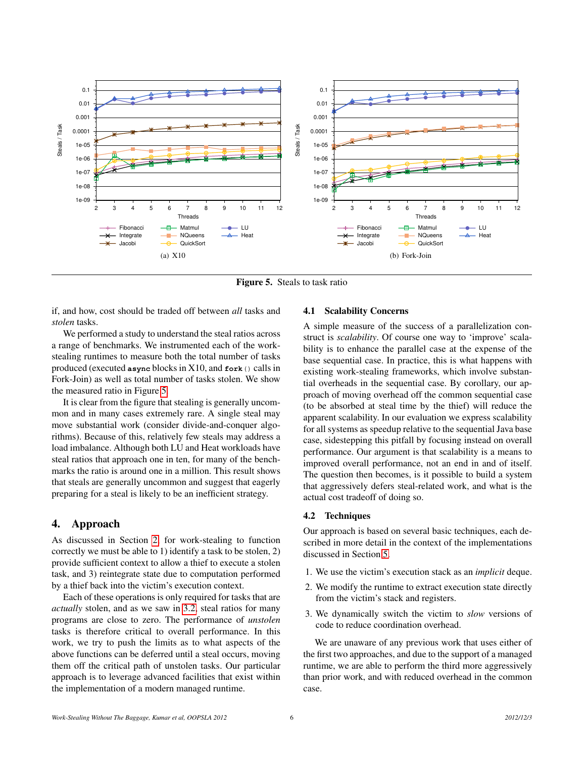<span id="page-5-1"></span>

Figure 5. Steals to task ratio

if, and how, cost should be traded off between *all* tasks and *stolen* tasks.

We performed a study to understand the steal ratios across a range of benchmarks. We instrumented each of the workstealing runtimes to measure both the total number of tasks produced (executed **async** blocks in X10, and **fork**() calls in Fork-Join) as well as total number of tasks stolen. We show the measured ratio in Figure [5.](#page-5-0)

It is clear from the figure that stealing is generally uncommon and in many cases extremely rare. A single steal may move substantial work (consider divide-and-conquer algorithms). Because of this, relatively few steals may address a load imbalance. Although both LU and Heat workloads have steal ratios that approach one in ten, for many of the benchmarks the ratio is around one in a million. This result shows that steals are generally uncommon and suggest that eagerly preparing for a steal is likely to be an inefficient strategy.

# 4. Approach

As discussed in Section [2,](#page-1-8) for work-stealing to function correctly we must be able to 1) identify a task to be stolen, 2) provide sufficient context to allow a thief to execute a stolen task, and 3) reintegrate state due to computation performed by a thief back into the victim's execution context.

Each of these operations is only required for tasks that are *actually* stolen, and as we saw in [3.2,](#page-4-0) steal ratios for many programs are close to zero. The performance of *unstolen* tasks is therefore critical to overall performance. In this work, we try to push the limits as to what aspects of the above functions can be deferred until a steal occurs, moving them off the critical path of unstolen tasks. Our particular approach is to leverage advanced facilities that exist within the implementation of a modern managed runtime.

#### <span id="page-5-2"></span><span id="page-5-0"></span>4.1 Scalability Concerns

A simple measure of the success of a parallelization construct is *scalability*. Of course one way to 'improve' scalability is to enhance the parallel case at the expense of the base sequential case. In practice, this is what happens with existing work-stealing frameworks, which involve substantial overheads in the sequential case. By corollary, our approach of moving overhead off the common sequential case (to be absorbed at steal time by the thief) will reduce the apparent scalability. In our evaluation we express scalability for all systems as speedup relative to the sequential Java base case, sidestepping this pitfall by focusing instead on overall performance. Our argument is that scalability is a means to improved overall performance, not an end in and of itself. The question then becomes, is it possible to build a system that aggressively defers steal-related work, and what is the actual cost tradeoff of doing so.

#### 4.2 Techniques

Our approach is based on several basic techniques, each described in more detail in the context of the implementations discussed in Section [5.](#page-6-0)

- 1. We use the victim's execution stack as an *implicit* deque.
- 2. We modify the runtime to extract execution state directly from the victim's stack and registers.
- 3. We dynamically switch the victim to *slow* versions of code to reduce coordination overhead.

We are unaware of any previous work that uses either of the first two approaches, and due to the support of a managed runtime, we are able to perform the third more aggressively than prior work, and with reduced overhead in the common case.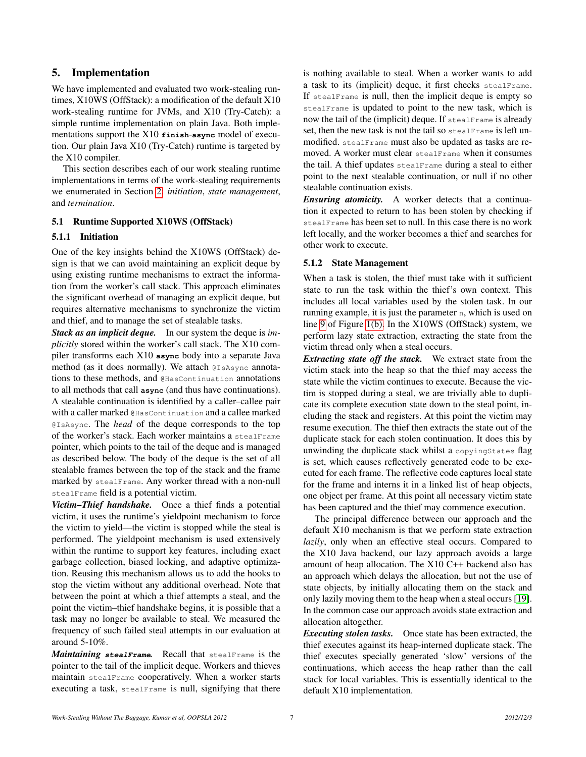# <span id="page-6-0"></span>5. Implementation

We have implemented and evaluated two work-stealing runtimes, X10WS (OffStack): a modification of the default X10 work-stealing runtime for JVMs, and X10 (Try-Catch): a simple runtime implementation on plain Java. Both implementations support the X10 **finish**-**async** model of execution. Our plain Java X10 (Try-Catch) runtime is targeted by the X10 compiler.

This section describes each of our work stealing runtime implementations in terms of the work-stealing requirements we enumerated in Section [2:](#page-1-8) *initiation*, *state management*, and *termination*.

## 5.1 Runtime Supported X10WS (OffStack)

#### 5.1.1 Initiation

One of the key insights behind the X10WS (OffStack) design is that we can avoid maintaining an explicit deque by using existing runtime mechanisms to extract the information from the worker's call stack. This approach eliminates the significant overhead of managing an explicit deque, but requires alternative mechanisms to synchronize the victim and thief, and to manage the set of stealable tasks.

*Stack as an implicit deque.* In our system the deque is *implicitly* stored within the worker's call stack. The X10 compiler transforms each X10 **async** body into a separate Java method (as it does normally). We attach @IsAsync annotations to these methods, and @HasContinuation annotations to all methods that call **async** (and thus have continuations). A stealable continuation is identified by a caller–callee pair with a caller marked @HasContinuation and a callee marked @IsAsync. The *head* of the deque corresponds to the top of the worker's stack. Each worker maintains a stealFrame pointer, which points to the tail of the deque and is managed as described below. The body of the deque is the set of all stealable frames between the top of the stack and the frame marked by stealFrame. Any worker thread with a non-null stealFrame field is a potential victim.

*Victim–Thief handshake.* Once a thief finds a potential victim, it uses the runtime's yieldpoint mechanism to force the victim to yield—the victim is stopped while the steal is performed. The yieldpoint mechanism is used extensively within the runtime to support key features, including exact garbage collection, biased locking, and adaptive optimization. Reusing this mechanism allows us to add the hooks to stop the victim without any additional overhead. Note that between the point at which a thief attempts a steal, and the point the victim–thief handshake begins, it is possible that a task may no longer be available to steal. We measured the frequency of such failed steal attempts in our evaluation at around 5-10%.

*Maintaining* **stealFrame***.* Recall that stealFrame is the pointer to the tail of the implicit deque. Workers and thieves maintain stealFrame cooperatively. When a worker starts executing a task, stealFrame is null, signifying that there

is nothing available to steal. When a worker wants to add a task to its (implicit) deque, it first checks stealFrame. If stealFrame is null, then the implicit deque is empty so stealFrame is updated to point to the new task, which is now the tail of the (implicit) deque. If stealFrame is already set, then the new task is not the tail so stealFrame is left unmodified. stealFrame must also be updated as tasks are removed. A worker must clear stealFrame when it consumes the tail. A thief updates stealFrame during a steal to either point to the next stealable continuation, or null if no other stealable continuation exists.

*Ensuring atomicity.* A worker detects that a continuation it expected to return to has been stolen by checking if stealFrame has been set to null. In this case there is no work left locally, and the worker becomes a thief and searches for other work to execute.

#### 5.1.2 State Management

When a task is stolen, the thief must take with it sufficient state to run the task within the thief's own context. This includes all local variables used by the stolen task. In our running example, it is just the parameter n, which is used on line [9](#page-1-3) of Figure [1\(b\).](#page-1-1) In the X10WS (OffStack) system, we perform lazy state extraction, extracting the state from the victim thread only when a steal occurs.

*Extracting state off the stack.* We extract state from the victim stack into the heap so that the thief may access the state while the victim continues to execute. Because the victim is stopped during a steal, we are trivially able to duplicate its complete execution state down to the steal point, including the stack and registers. At this point the victim may resume execution. The thief then extracts the state out of the duplicate stack for each stolen continuation. It does this by unwinding the duplicate stack whilst a copyingStates flag is set, which causes reflectively generated code to be executed for each frame. The reflective code captures local state for the frame and interns it in a linked list of heap objects, one object per frame. At this point all necessary victim state has been captured and the thief may commence execution.

The principal difference between our approach and the default X10 mechanism is that we perform state extraction *lazily*, only when an effective steal occurs. Compared to the X10 Java backend, our lazy approach avoids a large amount of heap allocation. The X10 C++ backend also has an approach which delays the allocation, but not the use of state objects, by initially allocating them on the stack and only lazily moving them to the heap when a steal occurs [\[19\]](#page-16-2). In the common case our approach avoids state extraction and allocation altogether.

*Executing stolen tasks.* Once state has been extracted, the thief executes against its heap-interned duplicate stack. The thief executes specially generated 'slow' versions of the continuations, which access the heap rather than the call stack for local variables. This is essentially identical to the default X10 implementation.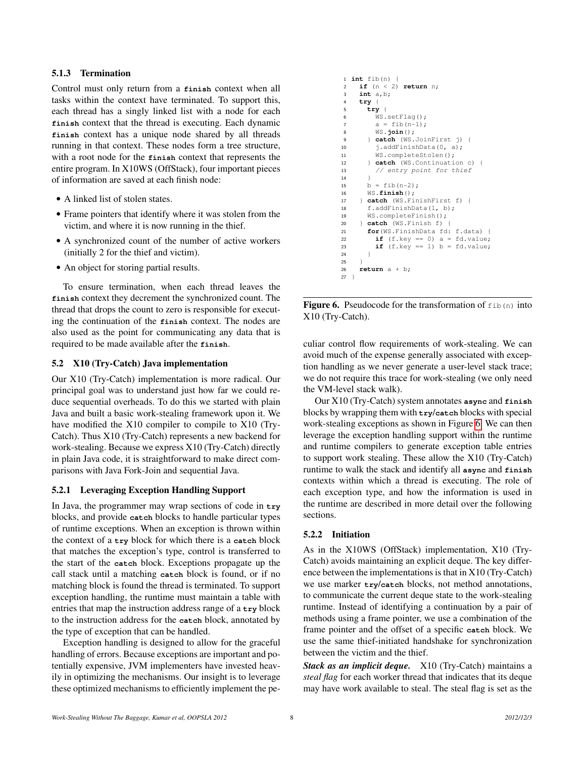#### 5.1.3 Termination

Control must only return from a **finish** context when all tasks within the context have terminated. To support this, each thread has a singly linked list with a node for each **finish** context that the thread is executing. Each dynamic **finish** context has a unique node shared by all threads running in that context. These nodes form a tree structure, with a root node for the **finish** context that represents the entire program. In X10WS (OffStack), four important pieces of information are saved at each finish node:

- A linked list of stolen states.
- Frame pointers that identify where it was stolen from the victim, and where it is now running in the thief.
- A synchronized count of the number of active workers (initially 2 for the thief and victim).
- An object for storing partial results.

To ensure termination, when each thread leaves the **finish** context they decrement the synchronized count. The thread that drops the count to zero is responsible for executing the continuation of the **finish** context. The nodes are also used as the point for communicating any data that is required to be made available after the **finish**.

## 5.2 X10 (Try-Catch) Java implementation

Our X10 (Try-Catch) implementation is more radical. Our principal goal was to understand just how far we could reduce sequential overheads. To do this we started with plain Java and built a basic work-stealing framework upon it. We have modified the X10 compiler to compile to X10 (Try-Catch). Thus X10 (Try-Catch) represents a new backend for work-stealing. Because we express X10 (Try-Catch) directly in plain Java code, it is straightforward to make direct comparisons with Java Fork-Join and sequential Java.

## 5.2.1 Leveraging Exception Handling Support

In Java, the programmer may wrap sections of code in **try** blocks, and provide **catch** blocks to handle particular types of runtime exceptions. When an exception is thrown within the context of a **try** block for which there is a **catch** block that matches the exception's type, control is transferred to the start of the **catch** block. Exceptions propagate up the call stack until a matching **catch** block is found, or if no matching block is found the thread is terminated. To support exception handling, the runtime must maintain a table with entries that map the instruction address range of a **try** block to the instruction address for the **catch** block, annotated by the type of exception that can be handled.

Exception handling is designed to allow for the graceful handling of errors. Because exceptions are important and potentially expensive, JVM implementers have invested heavily in optimizing the mechanisms. Our insight is to leverage these optimized mechanisms to efficiently implement the pe-

```
1 int fib(n) {
2 if (n < 2) return n;
3 int a,b;
4 try {
5 try {
6 WS.setFlag();
7 a = \text{fib}(n-1);8 WS.join();
9 } catch (WS.JoinFirst i) {
10 i.addFinishData(0, a);
11 WS.completeStolen();
12 } catch (WS.Continuation c) {
13 // entry point for thief
14 }
15 b = fib(n-2);16 WS.finish();
17 } catch (WS.FinishFirst f) {
18 f.addFinishData(1, b);
19 WS.completeFinish();
20 } catch (WS.Finish f) {
21 for(WS.FinishData fd: f.data) {
22 if (f.key == 0) a = fd.value;
23 if (f.key == 1) b = fd.value;
24 }
25 }
26 return a + b;
27 }
```
<span id="page-7-0"></span>**Figure 6.** Pseudocode for the transformation of  $f$ ib(n) into X10 (Try-Catch).

culiar control flow requirements of work-stealing. We can avoid much of the expense generally associated with exception handling as we never generate a user-level stack trace; we do not require this trace for work-stealing (we only need the VM-level stack walk).

Our X10 (Try-Catch) system annotates **async** and **finish** blocks by wrapping them with **try**/**catch** blocks with special work-stealing exceptions as shown in Figure [6.](#page-7-0) We can then leverage the exception handling support within the runtime and runtime compilers to generate exception table entries to support work stealing. These allow the X10 (Try-Catch) runtime to walk the stack and identify all **async** and **finish** contexts within which a thread is executing. The role of each exception type, and how the information is used in the runtime are described in more detail over the following sections.

## 5.2.2 Initiation

As in the X10WS (OffStack) implementation, X10 (Try-Catch) avoids maintaining an explicit deque. The key difference between the implementations is that in X10 (Try-Catch) we use marker **try**/**catch** blocks, not method annotations, to communicate the current deque state to the work-stealing runtime. Instead of identifying a continuation by a pair of methods using a frame pointer, we use a combination of the frame pointer and the offset of a specific **catch** block. We use the same thief-initiated handshake for synchronization between the victim and the thief.

*Stack as an implicit deque.* X10 (Try-Catch) maintains a *steal flag* for each worker thread that indicates that its deque may have work available to steal. The steal flag is set as the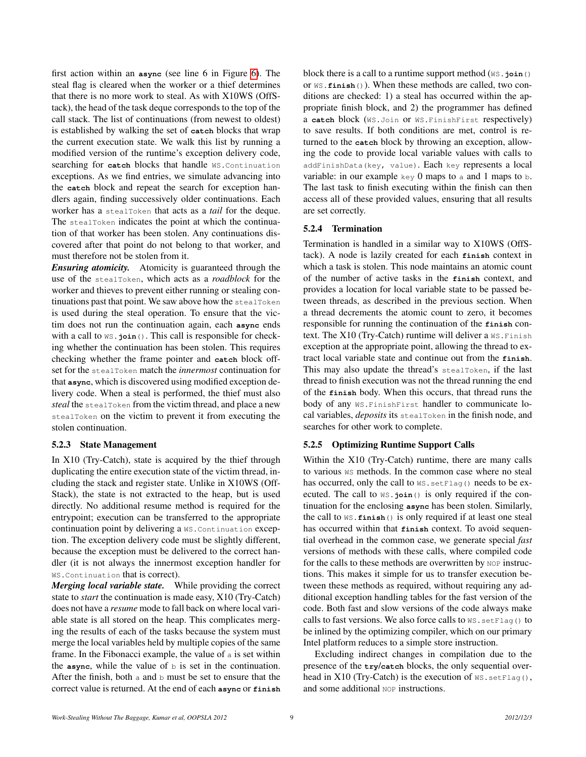first action within an **async** (see line 6 in Figure [6\)](#page-7-0). The steal flag is cleared when the worker or a thief determines that there is no more work to steal. As with X10WS (OffStack), the head of the task deque corresponds to the top of the call stack. The list of continuations (from newest to oldest) is established by walking the set of **catch** blocks that wrap the current execution state. We walk this list by running a modified version of the runtime's exception delivery code, searching for catch blocks that handle WS. Continuation exceptions. As we find entries, we simulate advancing into the **catch** block and repeat the search for exception handlers again, finding successively older continuations. Each worker has a stealToken that acts as a *tail* for the deque. The stealToken indicates the point at which the continuation of that worker has been stolen. Any continuations discovered after that point do not belong to that worker, and must therefore not be stolen from it.

*Ensuring atomicity.* Atomicity is guaranteed through the use of the stealToken, which acts as a *roadblock* for the worker and thieves to prevent either running or stealing continuations past that point. We saw above how the stealToken is used during the steal operation. To ensure that the victim does not run the continuation again, each **async** ends with a call to WS.**join**(). This call is responsible for checking whether the continuation has been stolen. This requires checking whether the frame pointer and **catch** block offset for the stealToken match the *innermost* continuation for that **async**, which is discovered using modified exception delivery code. When a steal is performed, the thief must also *steal* the stealToken from the victim thread, and place a new stealToken on the victim to prevent it from executing the stolen continuation.

#### 5.2.3 State Management

In X10 (Try-Catch), state is acquired by the thief through duplicating the entire execution state of the victim thread, including the stack and register state. Unlike in X10WS (Off-Stack), the state is not extracted to the heap, but is used directly. No additional resume method is required for the entrypoint; execution can be transferred to the appropriate continuation point by delivering a WS. Continuation exception. The exception delivery code must be slightly different, because the exception must be delivered to the correct handler (it is not always the innermost exception handler for WS.Continuation that is correct).

*Merging local variable state.* While providing the correct state to *start* the continuation is made easy, X10 (Try-Catch) does not have a *resume* mode to fall back on where local variable state is all stored on the heap. This complicates merging the results of each of the tasks because the system must merge the local variables held by multiple copies of the same frame. In the Fibonacci example, the value of a is set within the **async**, while the value of  $\mathbf{b}$  is set in the continuation. After the finish, both  $\alpha$  and  $\beta$  must be set to ensure that the correct value is returned. At the end of each **async** or **finish** block there is a call to a runtime support method (WS.**join**() or WS.**finish**()). When these methods are called, two conditions are checked: 1) a steal has occurred within the appropriate finish block, and 2) the programmer has defined a **catch** block (WS.Join or WS.FinishFirst respectively) to save results. If both conditions are met, control is returned to the **catch** block by throwing an exception, allowing the code to provide local variable values with calls to addFinishData(key, value). Each key represents a local variable: in our example  $\text{key } 0$  maps to a and 1 maps to b. The last task to finish executing within the finish can then access all of these provided values, ensuring that all results are set correctly.

#### 5.2.4 Termination

Termination is handled in a similar way to X10WS (OffStack). A node is lazily created for each **finish** context in which a task is stolen. This node maintains an atomic count of the number of active tasks in the **finish** context, and provides a location for local variable state to be passed between threads, as described in the previous section. When a thread decrements the atomic count to zero, it becomes responsible for running the continuation of the **finish** context. The  $X10$  (Try-Catch) runtime will deliver a  $WS$ . Finish exception at the appropriate point, allowing the thread to extract local variable state and continue out from the **finish**. This may also update the thread's stealToken, if the last thread to finish execution was not the thread running the end of the **finish** body. When this occurs, that thread runs the body of any WS. FinishFirst handler to communicate local variables, *deposits* its stealToken in the finish node, and searches for other work to complete.

#### 5.2.5 Optimizing Runtime Support Calls

Within the X10 (Try-Catch) runtime, there are many calls to various ws methods. In the common case where no steal has occurred, only the call to  $WS.$  setFlag() needs to be executed. The call to WS.**join**() is only required if the continuation for the enclosing **async** has been stolen. Similarly, the call to WS.**finish**() is only required if at least one steal has occurred within that **finish** context. To avoid sequential overhead in the common case, we generate special *fast* versions of methods with these calls, where compiled code for the calls to these methods are overwritten by NOP instructions. This makes it simple for us to transfer execution between these methods as required, without requiring any additional exception handling tables for the fast version of the code. Both fast and slow versions of the code always make calls to fast versions. We also force calls to WS.setFlag() to be inlined by the optimizing compiler, which on our primary Intel platform reduces to a simple store instruction.

Excluding indirect changes in compilation due to the presence of the **try**/**catch** blocks, the only sequential overhead in X10 (Try-Catch) is the execution of  $WS.setFlag()$ , and some additional NOP instructions.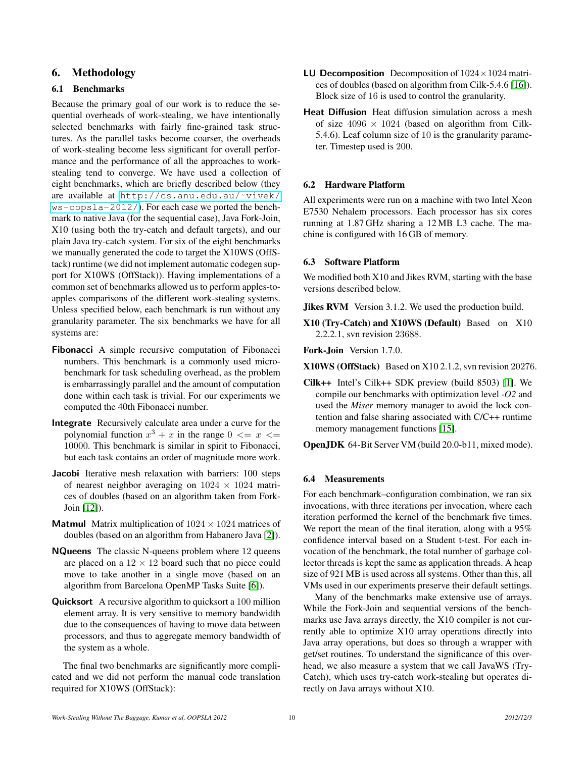# <span id="page-9-0"></span>6. Methodology

## 6.1 Benchmarks

Because the primary goal of our work is to reduce the sequential overheads of work-stealing, we have intentionally selected benchmarks with fairly fine-grained task structures. As the parallel tasks become coarser, the overheads of work-stealing become less significant for overall performance and the performance of all the approaches to workstealing tend to converge. We have used a collection of eight benchmarks, which are briefly described below (they are available at [http://cs.anu.edu.au/˜vivek/](http://cs.anu.edu.au/~vivek/ws-oopsla-2012/) [ws-oopsla-2012/](http://cs.anu.edu.au/~vivek/ws-oopsla-2012/)). For each case we ported the benchmark to native Java (for the sequential case), Java Fork-Join, X10 (using both the try-catch and default targets), and our plain Java try-catch system. For six of the eight benchmarks we manually generated the code to target the X10WS (OffStack) runtime (we did not implement automatic codegen support for X10WS (OffStack)). Having implementations of a common set of benchmarks allowed us to perform apples-toapples comparisons of the different work-stealing systems. Unless specified below, each benchmark is run without any granularity parameter. The six benchmarks we have for all systems are:

- Fibonacci A simple recursive computation of Fibonacci numbers. This benchmark is a commonly used microbenchmark for task scheduling overhead, as the problem is embarrassingly parallel and the amount of computation done within each task is trivial. For our experiments we computed the 40th Fibonacci number.
- Integrate Recursively calculate area under a curve for the polynomial function  $x^3 + x$  in the range  $0 \le x \le$ 10000. This benchmark is similar in spirit to Fibonacci, but each task contains an order of magnitude more work.
- Jacobi Iterative mesh relaxation with barriers: 100 steps of nearest neighbor averaging on  $1024 \times 1024$  matrices of doubles (based on an algorithm taken from Fork-Join [\[12\]](#page-16-0)).
- **Matmul** Matrix multiplication of  $1024 \times 1024$  matrices of doubles (based on an algorithm from Habanero Java [\[2\]](#page-15-2)).
- NQueens The classic N-queens problem where 12 queens are placed on a  $12 \times 12$  board such that no piece could move to take another in a single move (based on an algorithm from Barcelona OpenMP Tasks Suite [\[6\]](#page-15-3)).
- Quicksort A recursive algorithm to quicksort a 100 million element array. It is very sensitive to memory bandwidth due to the consequences of having to move data between processors, and thus to aggregate memory bandwidth of the system as a whole.

The final two benchmarks are significantly more complicated and we did not perform the manual code translation required for X10WS (OffStack):

- **LU Decomposition** Decomposition of  $1024 \times 1024$  matrices of doubles (based on algorithm from Cilk-5.4.6 [\[16\]](#page-16-3)). Block size of 16 is used to control the granularity.
- Heat Diffusion Heat diffusion simulation across a mesh of size  $4096 \times 1024$  (based on algorithm from Cilk-5.4.6). Leaf column size of 10 is the granularity parameter. Timestep used is 200.

## 6.2 Hardware Platform

All experiments were run on a machine with two Intel Xeon E7530 Nehalem processors. Each processor has six cores running at 1.87 GHz sharing a 12 MB L3 cache. The machine is configured with 16 GB of memory.

## 6.3 Software Platform

We modified both X10 and Jikes RVM, starting with the base versions described below.

**Jikes RVM** Version 3.1.2. We used the production build.

X10 (Try-Catch) and X10WS (Default) Based on X10 2.2.2.1, svn revision 23688.

Fork-Join Version 1.7.0.

X10WS (OffStack) Based on X10 2.1.2, svn revision 20276.

Cilk++ Intel's Cilk++ SDK preview (build 8503) [\[1\]](#page-15-4). We compile our benchmarks with optimization level *-O2* and used the *Miser* memory manager to avoid the lock contention and false sharing associated with C/C++ runtime memory management functions [\[15\]](#page-16-4).

OpenJDK 64-Bit Server VM (build 20.0-b11, mixed mode).

# 6.4 Measurements

For each benchmark–configuration combination, we ran six invocations, with three iterations per invocation, where each iteration performed the kernel of the benchmark five times. We report the mean of the final iteration, along with a 95% confidence interval based on a Student t-test. For each invocation of the benchmark, the total number of garbage collector threads is kept the same as application threads. A heap size of 921 MB is used across all systems. Other than this, all VMs used in our experiments preserve their default settings.

Many of the benchmarks make extensive use of arrays. While the Fork-Join and sequential versions of the benchmarks use Java arrays directly, the X10 compiler is not currently able to optimize X10 array operations directly into Java array operations, but does so through a wrapper with get/set routines. To understand the significance of this overhead, we also measure a system that we call JavaWS (Try-Catch), which uses try-catch work-stealing but operates directly on Java arrays without X10.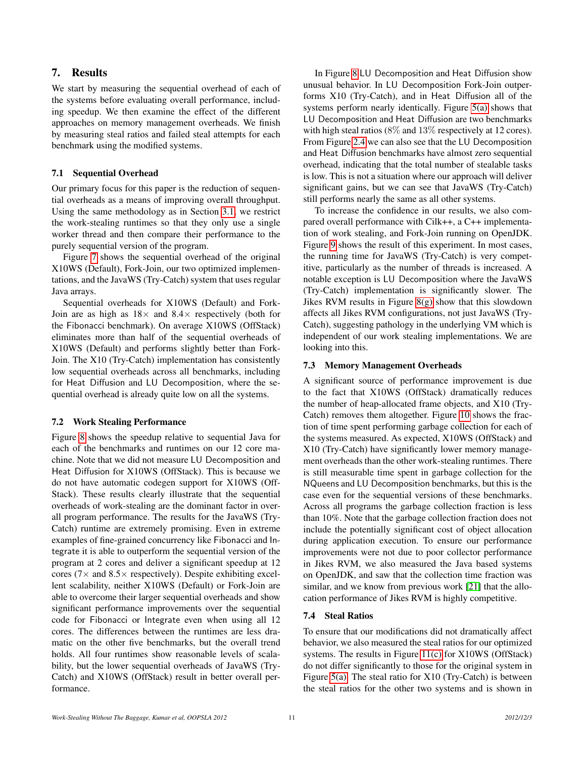# 7. Results

We start by measuring the sequential overhead of each of the systems before evaluating overall performance, including speedup. We then examine the effect of the different approaches on memory management overheads. We finish by measuring steal ratios and failed steal attempts for each benchmark using the modified systems.

#### 7.1 Sequential Overhead

Our primary focus for this paper is the reduction of sequential overheads as a means of improving overall throughput. Using the same methodology as in Section [3.1,](#page-4-1) we restrict the work-stealing runtimes so that they only use a single worker thread and then compare their performance to the purely sequential version of the program.

Figure [7](#page-11-0) shows the sequential overhead of the original X10WS (Default), Fork-Join, our two optimized implementations, and the JavaWS (Try-Catch) system that uses regular Java arrays.

Sequential overheads for X10WS (Default) and Fork-Join are as high as  $18\times$  and  $8.4\times$  respectively (both for the Fibonacci benchmark). On average X10WS (OffStack) eliminates more than half of the sequential overheads of X10WS (Default) and performs slightly better than Fork-Join. The X10 (Try-Catch) implementation has consistently low sequential overheads across all benchmarks, including for Heat Diffusion and LU Decomposition, where the sequential overhead is already quite low on all the systems.

## 7.2 Work Stealing Performance

Figure [8](#page-12-0) shows the speedup relative to sequential Java for each of the benchmarks and runtimes on our 12 core machine. Note that we did not measure LU Decomposition and Heat Diffusion for X10WS (OffStack). This is because we do not have automatic codegen support for X10WS (Off-Stack). These results clearly illustrate that the sequential overheads of work-stealing are the dominant factor in overall program performance. The results for the JavaWS (Try-Catch) runtime are extremely promising. Even in extreme examples of fine-grained concurrency like Fibonacci and Integrate it is able to outperform the sequential version of the program at 2 cores and deliver a significant speedup at 12 cores ( $7\times$  and  $8.5\times$  respectively). Despite exhibiting excellent scalability, neither X10WS (Default) or Fork-Join are able to overcome their larger sequential overheads and show significant performance improvements over the sequential code for Fibonacci or Integrate even when using all 12 cores. The differences between the runtimes are less dramatic on the other five benchmarks, but the overall trend holds. All four runtimes show reasonable levels of scalability, but the lower sequential overheads of JavaWS (Try-Catch) and X10WS (OffStack) result in better overall performance.

In Figure [8](#page-12-0) LU Decomposition and Heat Diffusion show unusual behavior. In LU Decomposition Fork-Join outperforms X10 (Try-Catch), and in Heat Diffusion all of the systems perform nearly identically. Figure [5\(a\)](#page-5-1) shows that LU Decomposition and Heat Diffusion are two benchmarks with high steal ratios (8% and 13% respectively at 12 cores). From Figure [2.4](#page-2-1) we can also see that the LU Decomposition and Heat Diffusion benchmarks have almost zero sequential overhead, indicating that the total number of stealable tasks is low. This is not a situation where our approach will deliver significant gains, but we can see that JavaWS (Try-Catch) still performs nearly the same as all other systems.

To increase the confidence in our results, we also compared overall performance with Cilk++, a C++ implementation of work stealing, and Fork-Join running on OpenJDK. Figure [9](#page-13-0) shows the result of this experiment. In most cases, the running time for JavaWS (Try-Catch) is very competitive, particularly as the number of threads is increased. A notable exception is LU Decomposition where the JavaWS (Try-Catch) implementation is significantly slower. The Jikes RVM results in Figure  $8(g)$  show that this slowdown affects all Jikes RVM configurations, not just JavaWS (Try-Catch), suggesting pathology in the underlying VM which is independent of our work stealing implementations. We are looking into this.

#### 7.3 Memory Management Overheads

A significant source of performance improvement is due to the fact that X10WS (OffStack) dramatically reduces the number of heap-allocated frame objects, and X10 (Try-Catch) removes them altogether. Figure [10](#page-14-0) shows the fraction of time spent performing garbage collection for each of the systems measured. As expected, X10WS (OffStack) and X10 (Try-Catch) have significantly lower memory management overheads than the other work-stealing runtimes. There is still measurable time spent in garbage collection for the NQueens and LU Decomposition benchmarks, but this is the case even for the sequential versions of these benchmarks. Across all programs the garbage collection fraction is less than 10%. Note that the garbage collection fraction does not include the potentially significant cost of object allocation during application execution. To ensure our performance improvements were not due to poor collector performance in Jikes RVM, we also measured the Java based systems on OpenJDK, and saw that the collection time fraction was similar, and we know from previous work [\[21\]](#page-16-5) that the allocation performance of Jikes RVM is highly competitive.

## 7.4 Steal Ratios

To ensure that our modifications did not dramatically affect behavior, we also measured the steal ratios for our optimized systems. The results in Figure [11\(c\)](#page-14-1) for X10WS (OffStack) do not differ significantly to those for the original system in Figure [5\(a\).](#page-5-1) The steal ratio for X10 (Try-Catch) is between the steal ratios for the other two systems and is shown in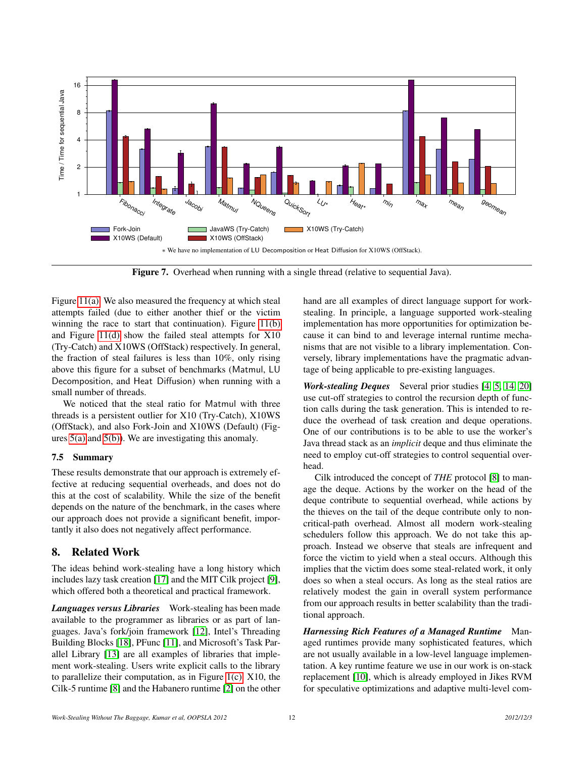

<span id="page-11-0"></span>Figure 7. Overhead when running with a single thread (relative to sequential Java).

Figure [11\(a\).](#page-14-2) We also measured the frequency at which steal attempts failed (due to either another thief or the victim winning the race to start that continuation). Figure [11\(b\)](#page-14-3) and Figure [11\(d\)](#page-14-4) show the failed steal attempts for X10 (Try-Catch) and X10WS (OffStack) respectively. In general, the fraction of steal failures is less than 10%, only rising above this figure for a subset of benchmarks (Matmul, LU Decomposition, and Heat Diffusion) when running with a small number of threads.

We noticed that the steal ratio for Matmul with three threads is a persistent outlier for X10 (Try-Catch), X10WS (OffStack), and also Fork-Join and X10WS (Default) (Figures [5\(a\)](#page-5-1) and [5\(b\)\)](#page-5-2). We are investigating this anomaly.

## 7.5 Summary

These results demonstrate that our approach is extremely effective at reducing sequential overheads, and does not do this at the cost of scalability. While the size of the benefit depends on the nature of the benchmark, in the cases where our approach does not provide a significant benefit, importantly it also does not negatively affect performance.

# 8. Related Work

The ideas behind work-stealing have a long history which includes lazy task creation [\[17\]](#page-16-6) and the MIT Cilk project [\[9\]](#page-15-1), which offered both a theoretical and practical framework.

*Languages versus Libraries* Work-stealing has been made available to the programmer as libraries or as part of languages. Java's fork/join framework [\[12\]](#page-16-0), Intel's Threading Building Blocks [\[18\]](#page-16-1), PFunc [\[11\]](#page-15-5), and Microsoft's Task Parallel Library [\[13\]](#page-16-7) are all examples of libraries that implement work-stealing. Users write explicit calls to the library to parallelize their computation, as in Figure [1\(c\).](#page-1-5) X10, the Cilk-5 runtime [\[8\]](#page-15-6) and the Habanero runtime [\[2\]](#page-15-2) on the other hand are all examples of direct language support for workstealing. In principle, a language supported work-stealing implementation has more opportunities for optimization because it can bind to and leverage internal runtime mechanisms that are not visible to a library implementation. Conversely, library implementations have the pragmatic advantage of being applicable to pre-existing languages.

*Work-stealing Deques* Several prior studies [\[4,](#page-15-7) [5,](#page-15-8) [14,](#page-16-8) [20\]](#page-16-9) use cut-off strategies to control the recursion depth of function calls during the task generation. This is intended to reduce the overhead of task creation and deque operations. One of our contributions is to be able to use the worker's Java thread stack as an *implicit* deque and thus eliminate the need to employ cut-off strategies to control sequential overhead.

Cilk introduced the concept of *THE* protocol [\[8\]](#page-15-6) to manage the deque. Actions by the worker on the head of the deque contribute to sequential overhead, while actions by the thieves on the tail of the deque contribute only to noncritical-path overhead. Almost all modern work-stealing schedulers follow this approach. We do not take this approach. Instead we observe that steals are infrequent and force the victim to yield when a steal occurs. Although this implies that the victim does some steal-related work, it only does so when a steal occurs. As long as the steal ratios are relatively modest the gain in overall system performance from our approach results in better scalability than the traditional approach.

*Harnessing Rich Features of a Managed Runtime* Managed runtimes provide many sophisticated features, which are not usually available in a low-level language implementation. A key runtime feature we use in our work is on-stack replacement [\[10\]](#page-15-9), which is already employed in Jikes RVM for speculative optimizations and adaptive multi-level com-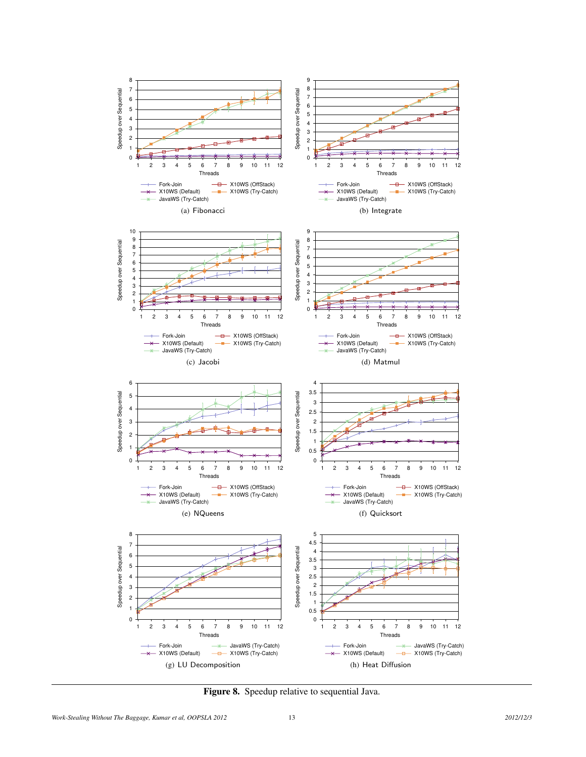

<span id="page-12-1"></span><span id="page-12-0"></span>Figure 8. Speedup relative to sequential Java.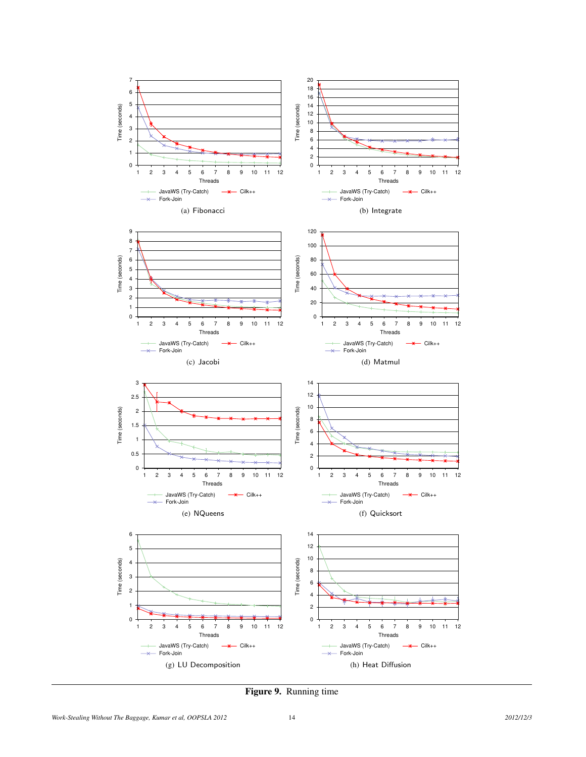

<span id="page-13-0"></span>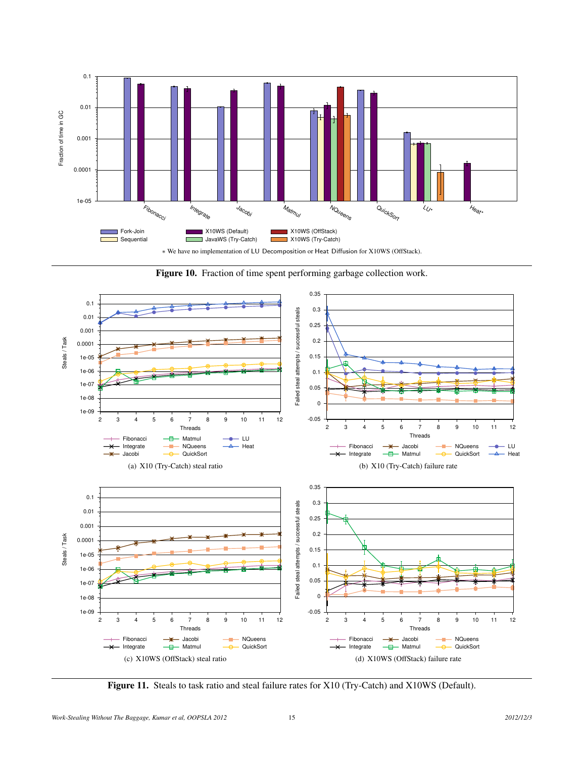

<span id="page-14-2"></span>

<span id="page-14-3"></span><span id="page-14-0"></span>Figure 10. Fraction of time spent performing garbage collection work.

<span id="page-14-4"></span><span id="page-14-1"></span>Figure 11. Steals to task ratio and steal failure rates for X10 (Try-Catch) and X10WS (Default).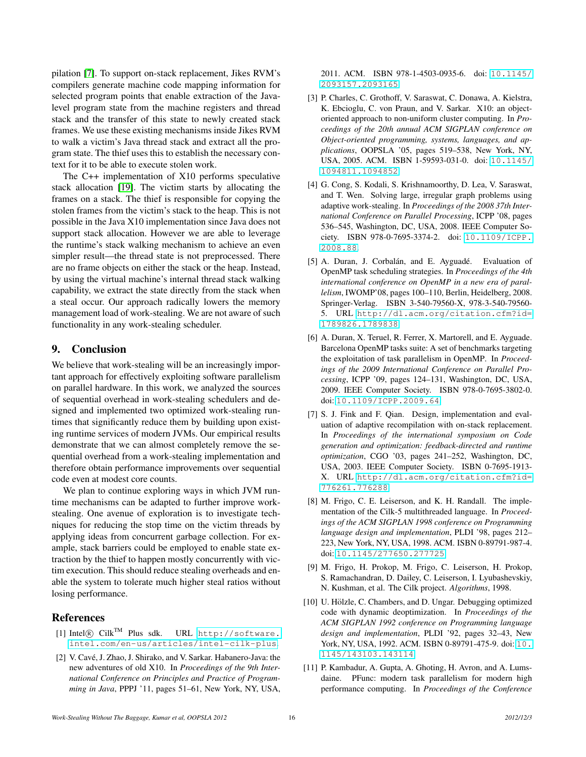pilation [\[7\]](#page-15-10). To support on-stack replacement, Jikes RVM's compilers generate machine code mapping information for selected program points that enable extraction of the Javalevel program state from the machine registers and thread stack and the transfer of this state to newly created stack frames. We use these existing mechanisms inside Jikes RVM to walk a victim's Java thread stack and extract all the program state. The thief uses this to establish the necessary context for it to be able to execute stolen work.

The C++ implementation of X10 performs speculative stack allocation [\[19\]](#page-16-2). The victim starts by allocating the frames on a stack. The thief is responsible for copying the stolen frames from the victim's stack to the heap. This is not possible in the Java X10 implementation since Java does not support stack allocation. However we are able to leverage the runtime's stack walking mechanism to achieve an even simpler result—the thread state is not preprocessed. There are no frame objects on either the stack or the heap. Instead, by using the virtual machine's internal thread stack walking capability, we extract the state directly from the stack when a steal occur. Our approach radically lowers the memory management load of work-stealing. We are not aware of such functionality in any work-stealing scheduler.

# 9. Conclusion

We believe that work-stealing will be an increasingly important approach for effectively exploiting software parallelism on parallel hardware. In this work, we analyzed the sources of sequential overhead in work-stealing schedulers and designed and implemented two optimized work-stealing runtimes that significantly reduce them by building upon existing runtime services of modern JVMs. Our empirical results demonstrate that we can almost completely remove the sequential overhead from a work-stealing implementation and therefore obtain performance improvements over sequential code even at modest core counts.

We plan to continue exploring ways in which JVM runtime mechanisms can be adapted to further improve workstealing. One avenue of exploration is to investigate techniques for reducing the stop time on the victim threads by applying ideas from concurrent garbage collection. For example, stack barriers could be employed to enable state extraction by the thief to happen mostly concurrently with victim execution. This should reduce stealing overheads and enable the system to tolerate much higher steal ratios without losing performance.

## References

- <span id="page-15-4"></span>[1] Intel<sub>(R)</sub> Cilk<sup>TM</sup> Plus sdk. URL [http://software.](http://software.intel.com/en-us/articles/intel-cilk-plus) [intel.com/en-us/articles/intel-cilk-plus](http://software.intel.com/en-us/articles/intel-cilk-plus).
- <span id="page-15-2"></span>[2] V. Cavé, J. Zhao, J. Shirako, and V. Sarkar. Habanero-Java: the new adventures of old X10. In *Proceedings of the 9th International Conference on Principles and Practice of Programming in Java*, PPPJ '11, pages 51–61, New York, NY, USA,

2011. ACM. ISBN 978-1-4503-0935-6. doi: [10.1145/](http://dx.doi.org/10.1145/2093157.2093165) [2093157.2093165](http://dx.doi.org/10.1145/2093157.2093165).

- <span id="page-15-0"></span>[3] P. Charles, C. Grothoff, V. Saraswat, C. Donawa, A. Kielstra, K. Ebcioglu, C. von Praun, and V. Sarkar. X10: an objectoriented approach to non-uniform cluster computing. In *Proceedings of the 20th annual ACM SIGPLAN conference on Object-oriented programming, systems, languages, and applications*, OOPSLA '05, pages 519–538, New York, NY, USA, 2005. ACM. ISBN 1-59593-031-0. doi: [10.1145/](http://dx.doi.org/10.1145/1094811.1094852) [1094811.1094852](http://dx.doi.org/10.1145/1094811.1094852).
- <span id="page-15-7"></span>[4] G. Cong, S. Kodali, S. Krishnamoorthy, D. Lea, V. Saraswat, and T. Wen. Solving large, irregular graph problems using adaptive work-stealing. In *Proceedings of the 2008 37th International Conference on Parallel Processing*, ICPP '08, pages 536–545, Washington, DC, USA, 2008. IEEE Computer Society. ISBN 978-0-7695-3374-2. doi: [10.1109/ICPP.](http://dx.doi.org/10.1109/ICPP.2008.88) [2008.88](http://dx.doi.org/10.1109/ICPP.2008.88).
- <span id="page-15-8"></span>[5] A. Duran, J. Corbalán, and E. Ayguadé. Evaluation of OpenMP task scheduling strategies. In *Proceedings of the 4th international conference on OpenMP in a new era of parallelism*, IWOMP'08, pages 100–110, Berlin, Heidelberg, 2008. Springer-Verlag. ISBN 3-540-79560-X, 978-3-540-79560- 5. URL [http://dl.acm.org/citation.cfm?id=](http://dl.acm.org/citation.cfm?id=1789826.1789838) [1789826.1789838](http://dl.acm.org/citation.cfm?id=1789826.1789838).
- <span id="page-15-3"></span>[6] A. Duran, X. Teruel, R. Ferrer, X. Martorell, and E. Ayguade. Barcelona OpenMP tasks suite: A set of benchmarks targeting the exploitation of task parallelism in OpenMP. In *Proceedings of the 2009 International Conference on Parallel Processing*, ICPP '09, pages 124–131, Washington, DC, USA, 2009. IEEE Computer Society. ISBN 978-0-7695-3802-0. doi: [10.1109/ICPP.2009.64](http://dx.doi.org/10.1109/ICPP.2009.64).
- <span id="page-15-10"></span>[7] S. J. Fink and F. Qian. Design, implementation and evaluation of adaptive recompilation with on-stack replacement. In *Proceedings of the international symposium on Code generation and optimization: feedback-directed and runtime optimization*, CGO '03, pages 241–252, Washington, DC, USA, 2003. IEEE Computer Society. ISBN 0-7695-1913- X. URL [http://dl.acm.org/citation.cfm?id=](http://dl.acm.org/citation.cfm?id=776261.776288) [776261.776288](http://dl.acm.org/citation.cfm?id=776261.776288).
- <span id="page-15-6"></span>[8] M. Frigo, C. E. Leiserson, and K. H. Randall. The implementation of the Cilk-5 multithreaded language. In *Proceedings of the ACM SIGPLAN 1998 conference on Programming language design and implementation*, PLDI '98, pages 212– 223, New York, NY, USA, 1998. ACM. ISBN 0-89791-987-4. doi: [10.1145/277650.277725](http://dx.doi.org/10.1145/277650.277725).
- <span id="page-15-1"></span>[9] M. Frigo, H. Prokop, M. Frigo, C. Leiserson, H. Prokop, S. Ramachandran, D. Dailey, C. Leiserson, I. Lyubashevskiy, N. Kushman, et al. The Cilk project. *Algorithms*, 1998.
- <span id="page-15-9"></span>[10] U. Hölzle, C. Chambers, and D. Ungar. Debugging optimized code with dynamic deoptimization. In *Proceedings of the ACM SIGPLAN 1992 conference on Programming language design and implementation*, PLDI '92, pages 32–43, New York, NY, USA, 1992. ACM. ISBN 0-89791-475-9. doi: [10.](http://dx.doi.org/10.1145/143103.143114) [1145/143103.143114](http://dx.doi.org/10.1145/143103.143114).
- <span id="page-15-5"></span>[11] P. Kambadur, A. Gupta, A. Ghoting, H. Avron, and A. Lumsdaine. PFunc: modern task parallelism for modern high performance computing. In *Proceedings of the Conference*